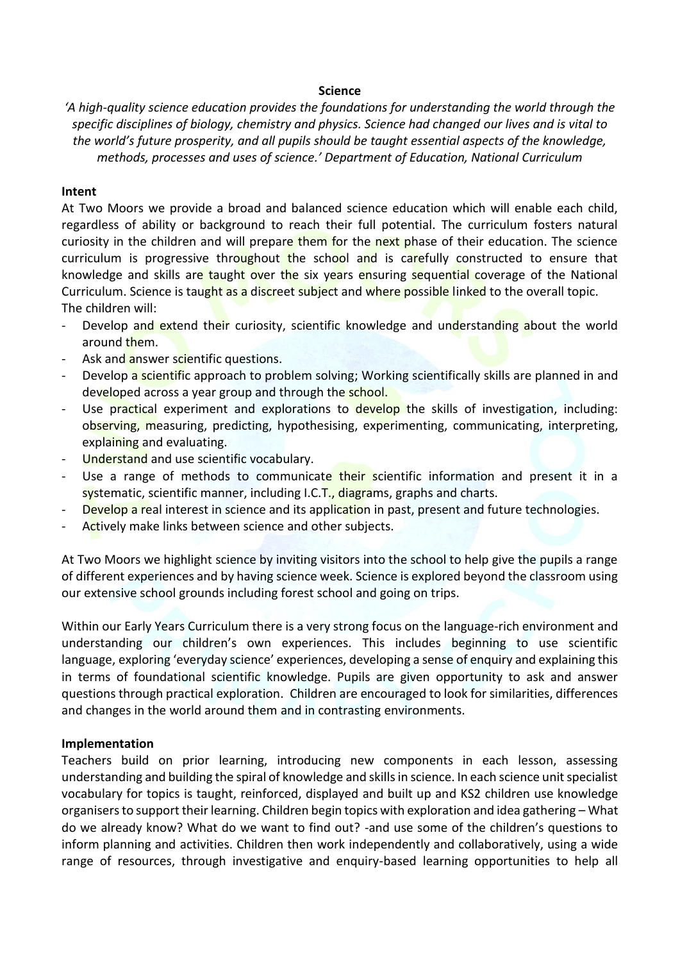## **Science**

*'A high-quality science education provides the foundations for understanding the world through the specific disciplines of biology, chemistry and physics. Science had changed our lives and is vital to the world's future prosperity, and all pupils should be taught essential aspects of the knowledge, methods, processes and uses of science.' Department of Education, National Curriculum*

## **Intent**

At Two Moors we provide a broad and balanced science education which will enable each child, regardless of ability or background to reach their full potential. The curriculum fosters natural curiosity in the children and will prepare them for the next phase of their education. The science curriculum is progressive throughout the school and is carefully constructed to ensure that knowledge and skills are taught over the six years ensuring sequential coverage of the National Curriculum. Science is taught as a discreet subject and where possible linked to the overall topic. The children will:

- Develop and extend their curiosity, scientific knowledge and understanding about the world around them.
- Ask and answer scientific questions.
- Develop a scientific approach to problem solving; Working scientifically skills are planned in and developed across a year group and through the school.
- Use practical experiment and explorations to develop the skills of investigation, including: observing, measuring, predicting, hypothesising, experimenting, communicating, interpreting, explaining and evaluating.
- Understand and use scientific vocabulary.
- Use a range of methods to communicate their scientific information and present it in a systematic, scientific manner, including I.C.T., diagrams, graphs and charts.
- Develop a real interest in science and its application in past, present and future technologies.
- Actively make links between science and other subjects.

At Two Moors we highlight science by inviting visitors into the school to help give the pupils a range of different experiences and by having science week. Science is explored beyond the classroom using our extensive school grounds including forest school and going on trips.

Within our Early Years Curriculum there is a very strong focus on the language-rich environment and understanding our children's own experiences. This includes beginning to use scientific language, exploring 'everyday science' experiences, developing a sense of enquiry and explaining this in terms of foundational scientific knowledge. Pupils are given opportunity to ask and answer questions through practical exploration. Children are encouraged to look for similarities, differences and changes in the world around them and in contrasting environments.

## **Implementation**

Teachers build on prior learning, introducing new components in each lesson, assessing understanding and building the spiral of knowledge and skills in science. In each science unit specialist vocabulary for topics is taught, reinforced, displayed and built up and KS2 children use knowledge organisers to support their learning. Children begin topics with exploration and idea gathering – What do we already know? What do we want to find out? -and use some of the children's questions to inform planning and activities. Children then work independently and collaboratively, using a wide range of resources, through investigative and enquiry-based learning opportunities to help all